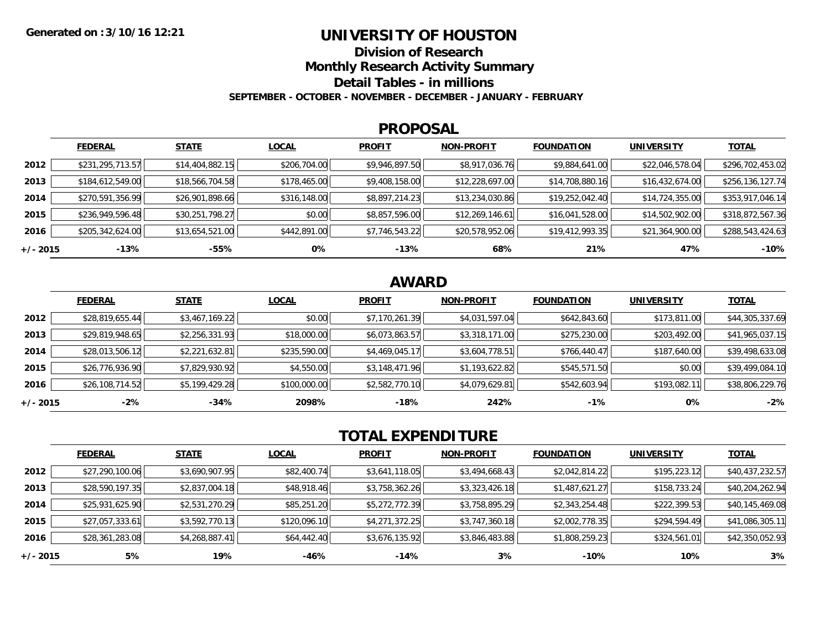### **UNIVERSITY OF HOUSTON**

**Division of Research**

**Monthly Research Activity Summary**

**Detail Tables - in millions**

**SEPTEMBER - OCTOBER - NOVEMBER - DECEMBER - JANUARY - FEBRUARY**

#### **PROPOSAL**

|            | <b>FEDERAL</b>   | <b>STATE</b>    | <b>LOCAL</b> | <b>PROFIT</b>  | <b>NON-PROFIT</b> | <b>FOUNDATION</b> | <b>UNIVERSITY</b> | <b>TOTAL</b>     |
|------------|------------------|-----------------|--------------|----------------|-------------------|-------------------|-------------------|------------------|
| 2012       | \$231,295,713.57 | \$14,404,882.15 | \$206,704.00 | \$9,946,897.50 | \$8,917,036.76    | \$9,884,641.00    | \$22,046,578.04   | \$296,702,453.02 |
| 2013       | \$184,612,549.00 | \$18,566,704.58 | \$178,465.00 | \$9,408,158.00 | \$12,228,697.00   | \$14,708,880.16   | \$16,432,674.00   | \$256,136,127.74 |
| 2014       | \$270,591,356.99 | \$26,901,898.66 | \$316,148.00 | \$8,897,214.23 | \$13,234,030.86   | \$19,252,042.40   | \$14,724,355.00   | \$353,917,046.14 |
| 2015       | \$236,949,596.48 | \$30,251,798.27 | \$0.00       | \$8,857,596.00 | \$12,269,146.61   | \$16,041,528.00   | \$14,502,902.00   | \$318,872,567.36 |
| 2016       | \$205,342,624.00 | \$13,654,521.00 | \$442,891.00 | \$7,746,543.22 | \$20,578,952.06   | \$19,412,993.35   | \$21,364,900.00   | \$288,543,424.63 |
| $+/- 2015$ | $-13%$           | -55%            | 0%           | $-13%$         | 68%               | 21%               | 47%               | $-10%$           |

## **AWARD**

|          | <b>FEDERAL</b>  | <b>STATE</b>   | <b>LOCAL</b> | <b>PROFIT</b>  | <b>NON-PROFIT</b> | <b>FOUNDATION</b> | <b>UNIVERSITY</b> | <b>TOTAL</b>    |
|----------|-----------------|----------------|--------------|----------------|-------------------|-------------------|-------------------|-----------------|
| 2012     | \$28,819,655.44 | \$3,467,169.22 | \$0.00       | \$7,170,261.39 | \$4,031,597.04    | \$642,843.60      | \$173,811.00      | \$44,305,337.69 |
| 2013     | \$29,819,948.65 | \$2,256,331.93 | \$18,000.00  | \$6,073,863.57 | \$3,318,171.00    | \$275,230.00      | \$203,492.00      | \$41,965,037.15 |
| 2014     | \$28,013,506.12 | \$2,221,632.81 | \$235,590.00 | \$4,469,045.17 | \$3,604,778.51    | \$766,440.47      | \$187,640.00      | \$39,498,633.08 |
| 2015     | \$26,776,936.90 | \$7,829,930.92 | \$4,550.00   | \$3,148,471.96 | \$1,193,622.82    | \$545,571.50      | \$0.00            | \$39,499,084.10 |
| 2016     | \$26,108,714.52 | \$5,199,429.28 | \$100,000.00 | \$2,582,770.10 | \$4,079,629.81    | \$542,603.94      | \$193,082.11      | \$38,806,229.76 |
| +/- 2015 | $-2%$           | $-34%$         | 2098%        | $-18%$         | 242%              | $-1%$             | 0%                | $-2%$           |

# **TOTAL EXPENDITURE**

|          | <b>FEDERAL</b>  | <b>STATE</b>   | <b>LOCAL</b> | <b>PROFIT</b>  | <b>NON-PROFIT</b> | <b>FOUNDATION</b> | <b>UNIVERSITY</b> | <b>TOTAL</b>    |
|----------|-----------------|----------------|--------------|----------------|-------------------|-------------------|-------------------|-----------------|
| 2012     | \$27,290,100.06 | \$3,690,907.95 | \$82,400.74  | \$3,641,118.05 | \$3,494,668.43    | \$2,042,814.22    | \$195,223.12      | \$40,437,232.57 |
| 2013     | \$28,590,197.35 | \$2,837,004.18 | \$48,918.46  | \$3,758,362.26 | \$3,323,426.18    | \$1,487,621.27    | \$158,733.24      | \$40,204,262.94 |
| 2014     | \$25,931,625.90 | \$2,531,270.29 | \$85,251.20  | \$5,272,772.39 | \$3,758,895.29    | \$2,343,254.48    | \$222,399.53      | \$40,145,469.08 |
| 2015     | \$27,057,333.61 | \$3,592,770.13 | \$120,096.10 | \$4,271,372.25 | \$3,747,360.18    | \$2,002,778.35    | \$294,594.49      | \$41,086,305.11 |
| 2016     | \$28,361,283.08 | \$4,268,887.41 | \$64,442.40  | \$3,676,135.92 | \$3,846,483.88    | \$1,808,259.23    | \$324,561.01      | \$42,350,052.93 |
| +/- 2015 | 5%              | 19%            | -46%         | -14%           | 3%                | $-10%$            | 10%               | 3%              |